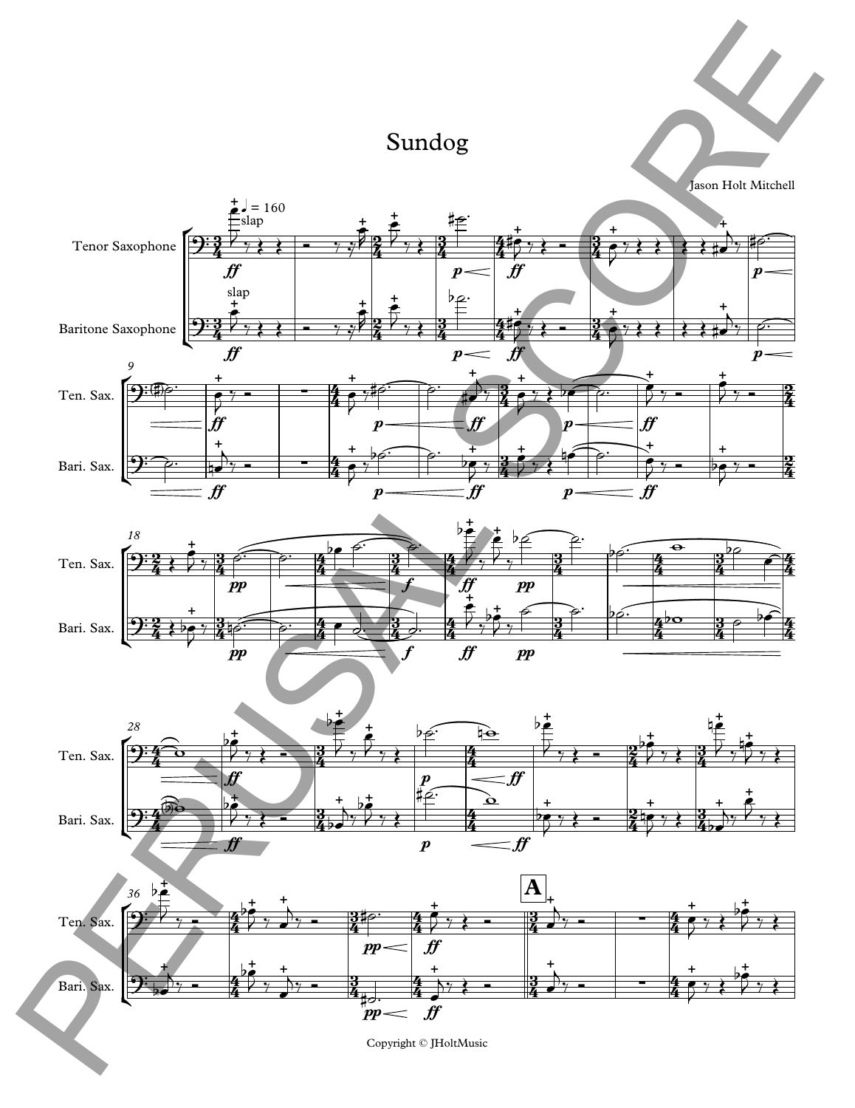## Sundog

Jason Holt Mitchell









Copyright © JHoltMusic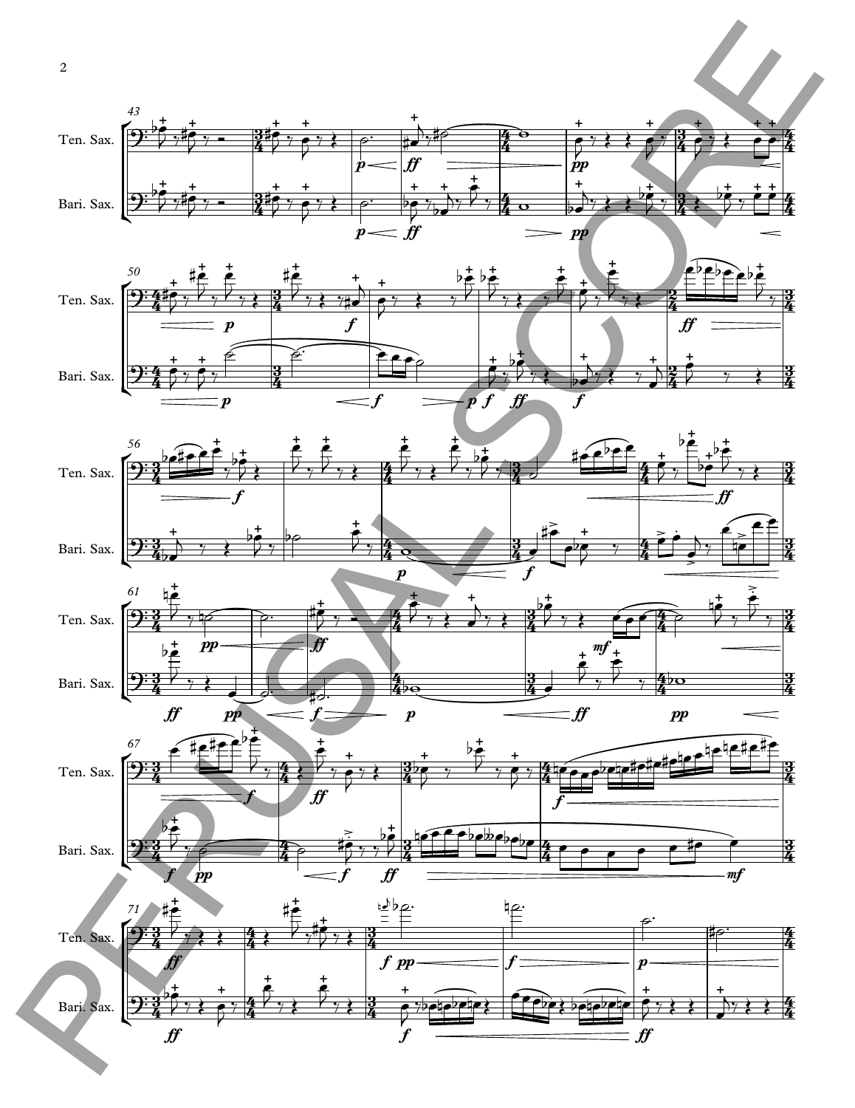









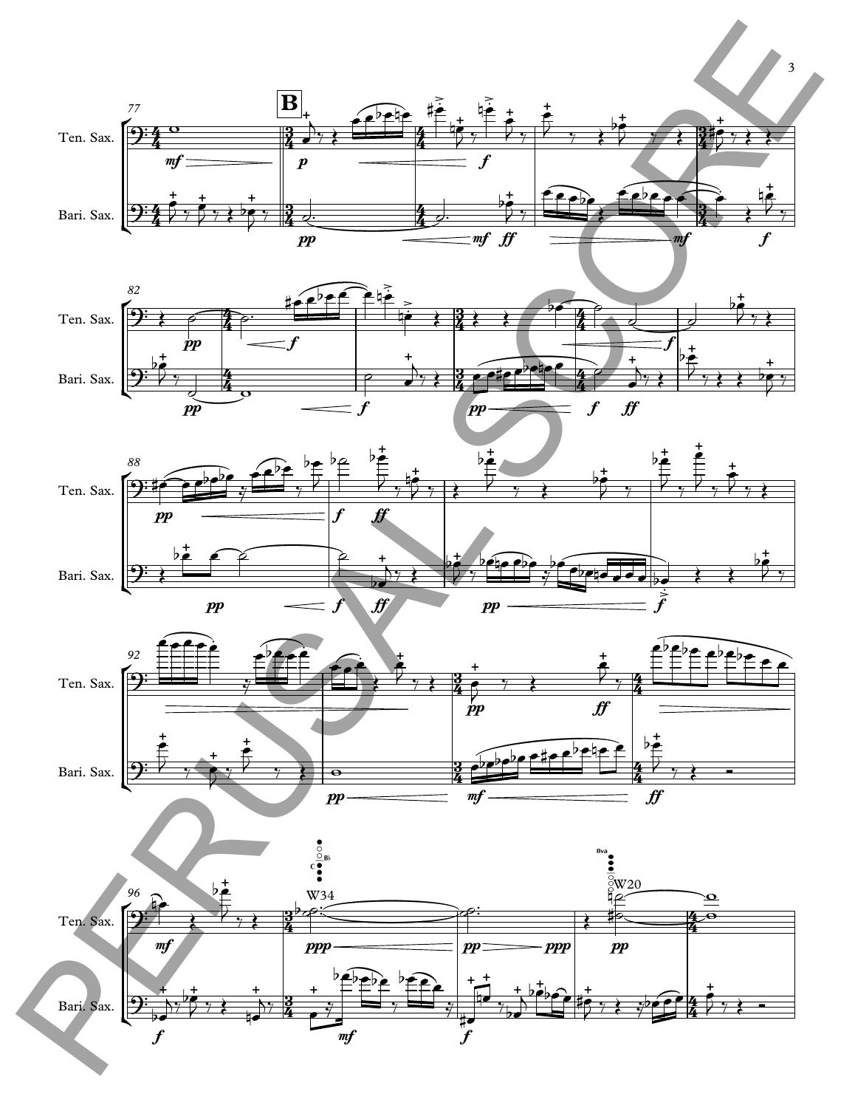

3